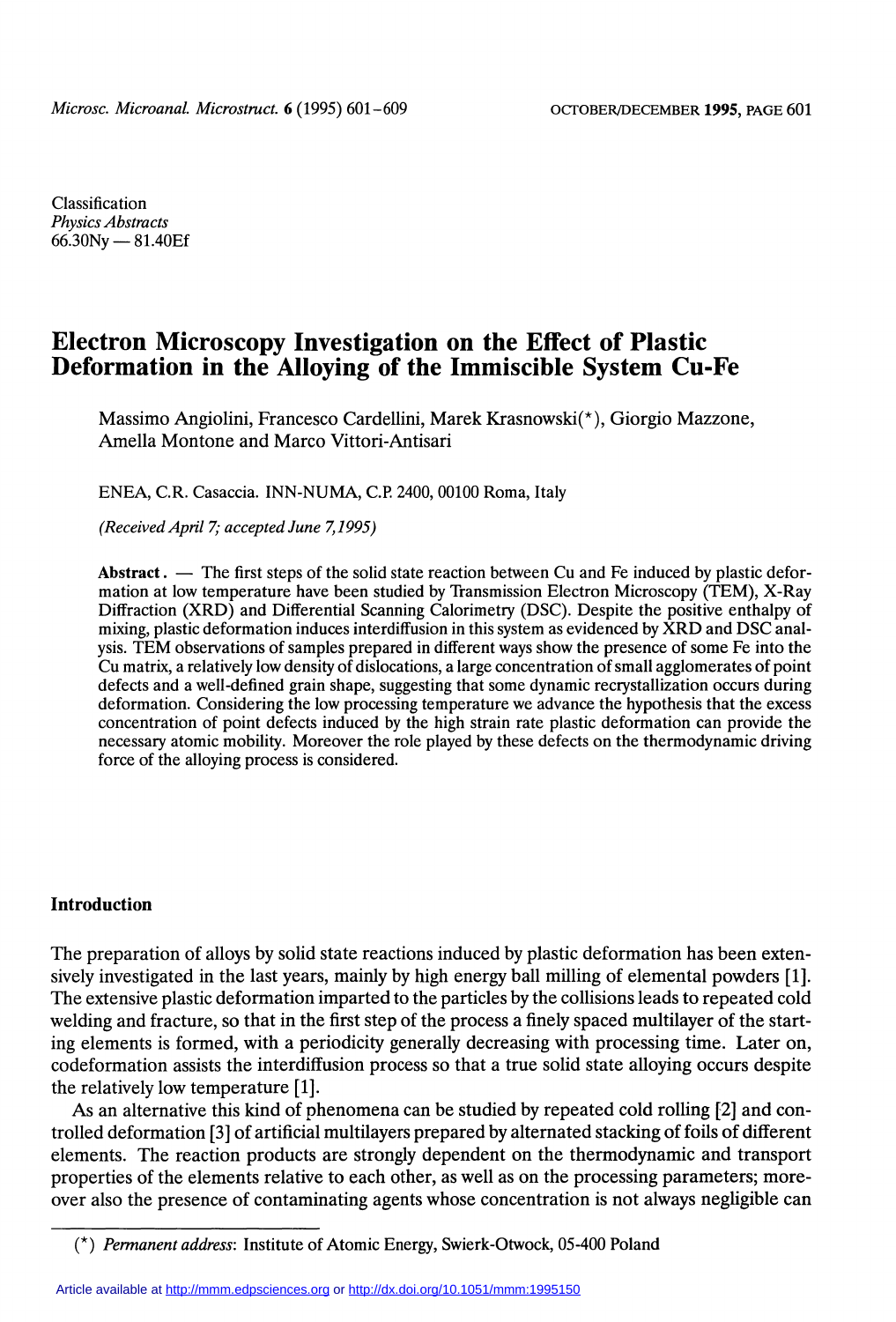Classification Physics Abstracts  $66.30$ Ny  $- 81.40$ Ef

# Electron Microscopy Investigation on the Effect of Plastic Deformation in the Alloying of the Immiscible System Cu-Fe

Massimo Angiolini, Francesco Cardellini, Marek Krasnowski(\*), Giorgio Mazzone, Amella Montone and Marco Vittori-Antisari

ENEA, C.R. Casaccia. INN-NUMA, C.P. 2400, 00100 Roma, Italy

(Received April 7; accepted June 7,1995)

Abstract.  $\overline{a}$  The first steps of the solid state reaction between Cu and Fe induced by plastic deformation at low temperature have been studied by Transmission Electron Microscopy (TEM), X-Ray Diffraction (XRD) and Differential Scanning Calorimetry (DSC). Despite the positive enthalpy of mixing, plastic deformation induces interdiffusion in this system as evidenced by XRD and DSC analysis. TEM observations of samples prepared in different ways show the presence of some Fe into the Cu matrix, a relatively low density of dislocations, a large concentration of small agglomerates of point defects and a well-defined grain shape, suggesting that some dynamic recrystallization occurs during deformation. Considering the low processing temperature we advance the hypothesis that the excess concentration of point defects induced by the high strain rate plastic deformation can provide the necessary atomic mobility. Moreover the role played by these defects on the thermodynamic driving force of the alloying process is considered.

### Introduction

The preparation of alloys by solid state reactions induced by plastic deformation has been extensively investigated in the last years, mainly by high energy ball milling of elemental powders [1]. The extensive plastic deformation imparted to the particles by the collisions leads to repeated cold welding and fracture, so that in the first step of the process a finely spaced multilayer of the starting elements is formed, with a periodicity generally decreasing with processing time. Later on, codeformation assists the interdiffusion process so that a true solid state alloying occurs despite the relatively low temperature [1].

As an alternative this kind of phenomena can be studied by repeated cold rolling [2] and controlled deformation [3] of artificial multilayers prepared by alternated stacking of foils of different elements. The reaction products are strongly dependent on the thermodynamic and transport properties of the elements relative to each other, as well as on the processing parameters; moreover also the presence of contaminating agents whose concentration is not always negligible can

<sup>(\*)</sup> Permanent address: Institute of Atomic Energy, Swierk-Otwock, 05-400 Poland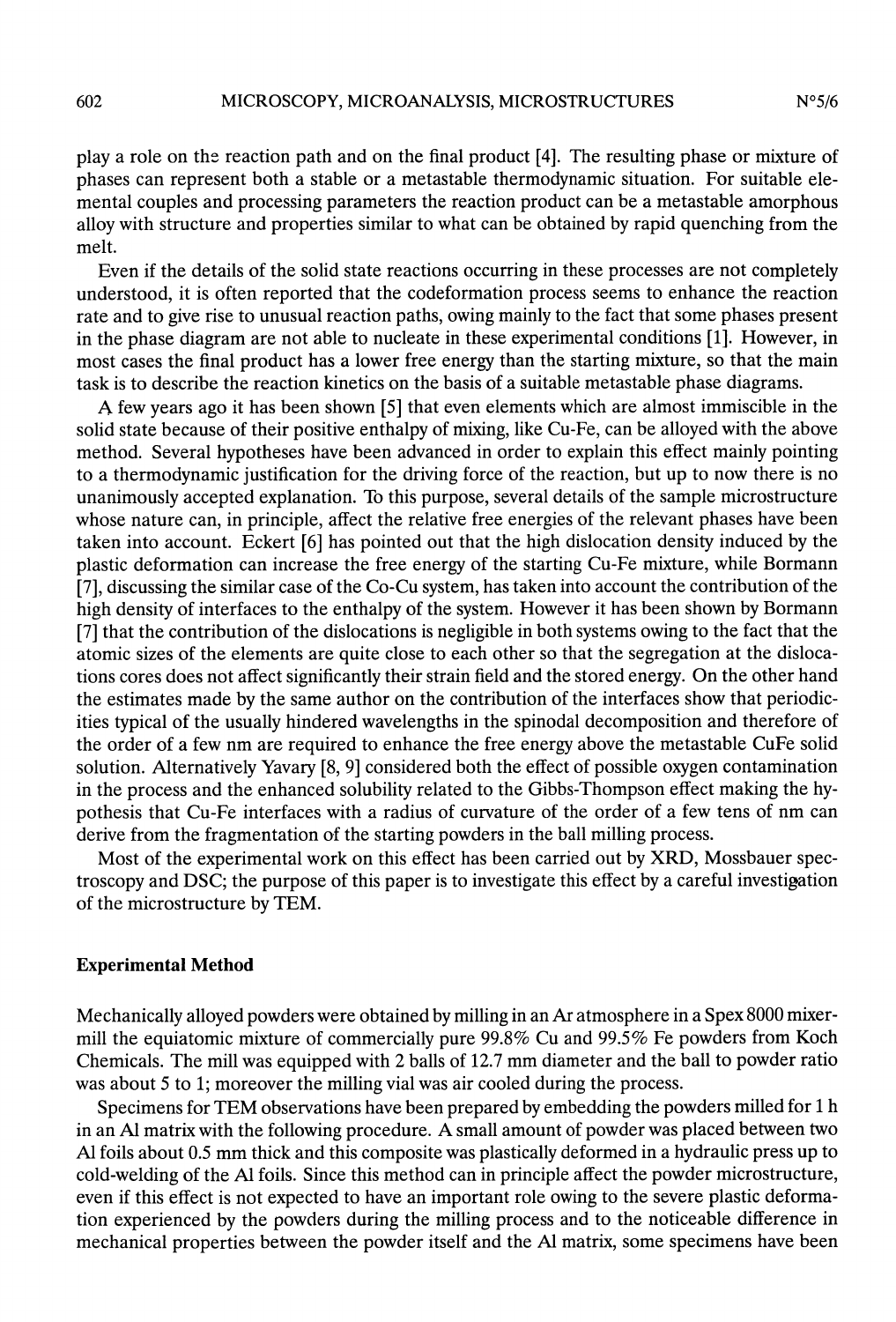play a role on the reaction path and on the final product [4]. The resulting phase or mixture of phases can represent both a stable or a metastable thermodynamic situation. For suitable elemental couples and processing parameters the reaction product can be a metastable amorphous alloy with structure and properties similar to what can be obtained by rapid quenching from the melt.

Even if the details of the solid state reactions occurring in these processes are not completely understood, it is often reported that the codeformation process seems to enhance the reaction rate and to give rise to unusual reaction paths, owing mainly to the fact that some phases present in the phase diagram are not able to nucleate in these experimental conditions [1]. However, in most cases the final product has a lower free energy than the starting mixture, so that the main task is to describe the reaction kinetics on the basis of a suitable metastable phase diagrams.

A few years ago it has been shown [5] that even elements which are almost immiscible in the solid state because of their positive enthalpy of mixing, like Cu-Fe, can be alloyed with the above method. Several hypotheses have been advanced in order to explain this effect mainly pointing to a thermodynamic justification for the driving force of the reaction, but up to now there is no unanimously accepted explanation. To this purpose, several details of the sample microstructure whose nature can, in principle, affect the relative free energies of the relevant phases have been taken into account. Eckert [6] has pointed out that the high dislocation density induced by the plastic deformation can increase the free energy of the starting Cu-Fe mixture, while Bormann [7], discussing the similar case of the Co-Cu system, has taken into account the contribution of the high density of interfaces to the enthalpy of the system. However it has been shown by Bormann [7] that the contribution of the dislocations is negligible in both systems owing to the fact that the atomic sizes of the elements are quite close to each other so that the segregation at the dislocations cores does not affect significantly their strain field and the stored energy. On the other hand the estimates made by the same author on the contribution of the interfaces show that periodicities typical of the usually hindered wavelengths in the spinodal decomposition and therefore of the order of a few nm are required to enhance the free energy above the metastable CuFe solid solution. Alternatively Yavary [8, 9] considered both the effect of possible oxygen contamination in the process and the enhanced solubility related to the Gibbs-Thompson effect making the hypothesis that Cu-Fe interfaces with a radius of curvature of the order of a few tens of nm can derive from the fragmentation of the starting powders in the ball milling process.

Most of the experimental work on this effect has been carried out by XRD, Mossbauer spectroscopy and DSC; the purpose of this paper is to investigate this effect by a careful investigation of the microstructure by TEM.

#### Experimental Method

Mechanically alloyed powders were obtained by milling in an Ar atmosphere in a Spex 8000 mixermill the equiatomic mixture of commercially pure 99.8% Cu and 99.5% Fe powders from Koch Chemicals. The mill was equipped with 2 balls of 12.7 mm diameter and the ball to powder ratio was about 5 to 1; moreover the milling vial was air cooled during the process.

Specimens for TEM observations have been prepared by embedding the powders milled for 1 h in an Al matrix with the following procedure. A small amount of powder was placed between two Al foils about 0.5 mm thick and this composite was plastically deformed in a hydraulic press up to cold-welding of the Al foils. Since this method can in principle affect the powder microstructure, even if this effect is not expected to have an important role owing to the severe plastic deformation experienced by the powders during the milling process and to the noticeable difference in mechanical properties between the powder itself and the Al matrix, some specimens have been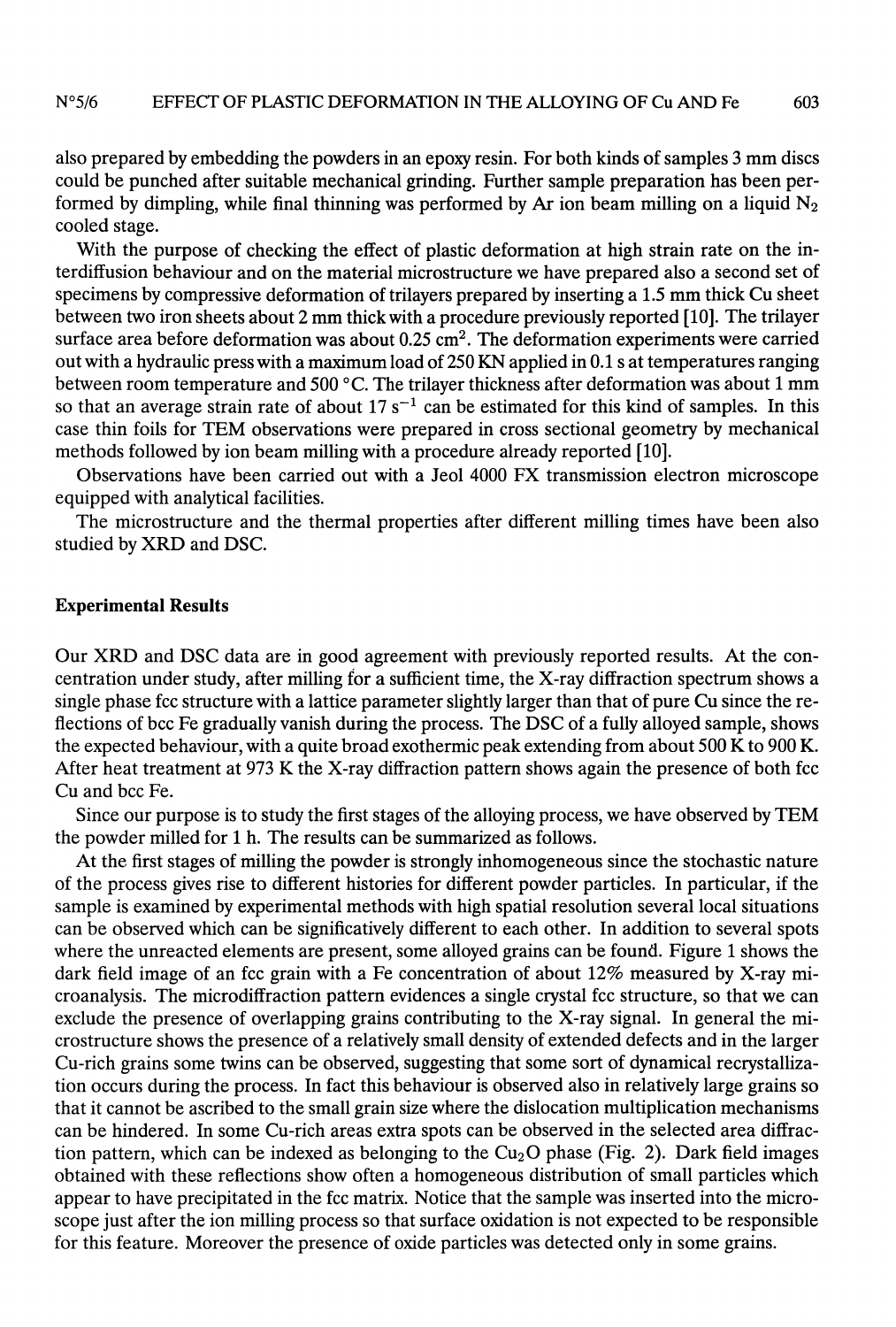also prepared by embedding the powders in an epoxy resin. For both kinds of samples 3 mm discs could be punched after suitable mechanical grinding. Further sample preparation has been performed by dimpling, while final thinning was performed by Ar ion beam milling on a liquid  $N_2$ cooled stage.

With the purpose of checking the effect of plastic deformation at high strain rate on the interdiffusion behaviour and on the material microstructure we have prepared also a second set of specimens by compressive deformation of trilayers prepared by inserting a 1.5 mm thick Cu sheet between two iron sheets about 2 mm thick with a procedure previously reported [10]. The trilayer surface area before deformation was about  $0.25 \text{ cm}^2$ . The deformation experiments were carried out with a hydraulic press with a maximum load of 250 KN applied in 0.1 s at temperatures ranging between room temperature and 500 ° C. The trilayer thickness after deformation was about 1 mm so that an average strain rate of about  $17 s^{-1}$  can be estimated for this kind of samples. In this case thin foils for TEM observations were prepared in cross sectional geometry by mechanical methods followed by ion beam milling with a procedure already reported [10].

Observations have been carried out with a Jeol 4000 FX transmission electron microscope equipped with analytical facilities.

The microstructure and the thermal properties after different milling times have been also studied by XRD and DSC.

## Experimental Results

Our XRD and DSC data are in good agreement with previously reported results. At the concentration under study, after milling for a sufficient time, the X-ray diffraction spectrum shows a single phase fcc structure with a lattice parameter slightly larger than that of pure Cu since the reflections of bcc Fe gradually vanish during the process. The DSC of a fully alloyed sample, shows the expected behaviour, with a quite broad exothermic peak extending from about 500 K to 900 K. After heat treatment at 973 K the X-ray diffraction pattern shows again the presence of both fcc Cu and bcc Fe.

Since our purpose is to study the first stages of the alloying process, we have observed by TEM the powder milled for 1 h. The results can be summarized as follows.

At the first stages of milling the powder is strongly inhomogeneous since the stochastic nature of the process gives rise to different histories for different powder particles. In particular, if the sample is examined by experimental methods with high spatial resolution several local situations can be observed which can be significatively different to each other. In addition to several spots where the unreacted elements are present, some alloyed grains can be found. Figure 1 shows the dark field image of an fcc grain with a Fe concentration of about 12% measured by X-ray microanalysis. The microdiffraction pattern evidences a single crystal fcc structure, so that we can exclude the presence of overlapping grains contributing to the X-ray signal. In general the microstructure shows the presence of a relatively small density of extended defects and in the larger Cu-rich grains some twins can be observed, suggesting that some sort of dynamical recrystallization occurs during the process. In fact this behaviour is observed also in relatively large grains so that it cannot be ascribed to the small grain size where the dislocation multiplication mechanisms can be hindered. In some Cu-rich areas extra spots can be observed in the selected area diffraction pattern, which can be indexed as belonging to the  $Cu<sub>2</sub>O$  phase (Fig. 2). Dark field images obtained with these reflections show often a homogeneous distribution of small particles which appear to have precipitated in the fcc matrix. Notice that the sample was inserted into the microscope just after the ion milling process so that surface oxidation is not expected to be responsible for this feature. Moreover the presence of oxide particles was detected only in some grains.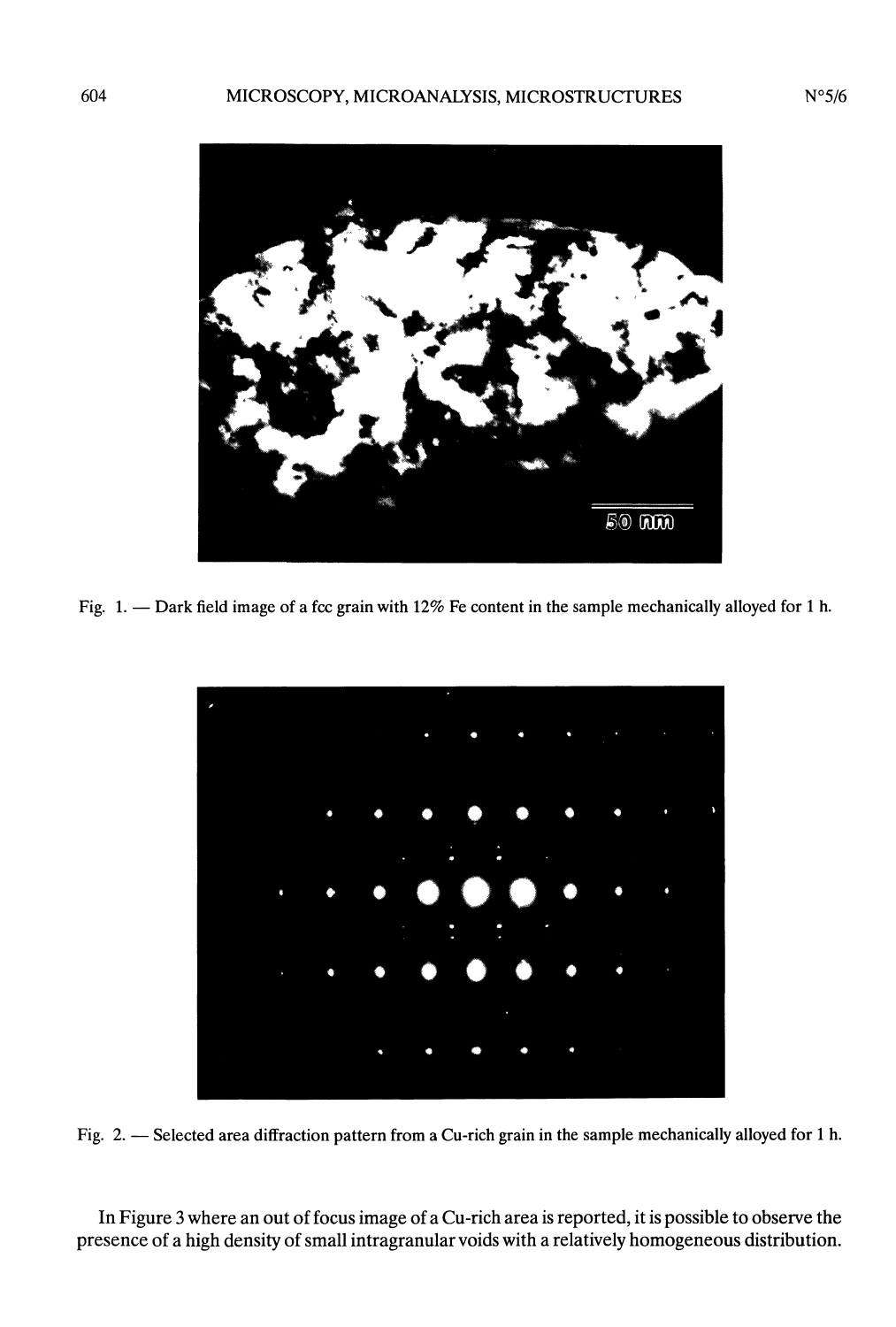

Fig. 1. - Dark field image of a fcc grain with 12% Fe content in the sample mechanically alloyed for 1 h.



Fig. 2. - Selected area diffraction pattern from a Cu-rich grain in the sample mechanically alloyed for 1 h.

In Figure 3 where an out of focus image of a Cu-rich area is reported, it is possible to observe the presence of a high density of small intragranular voids with a relatively homogeneous distribution.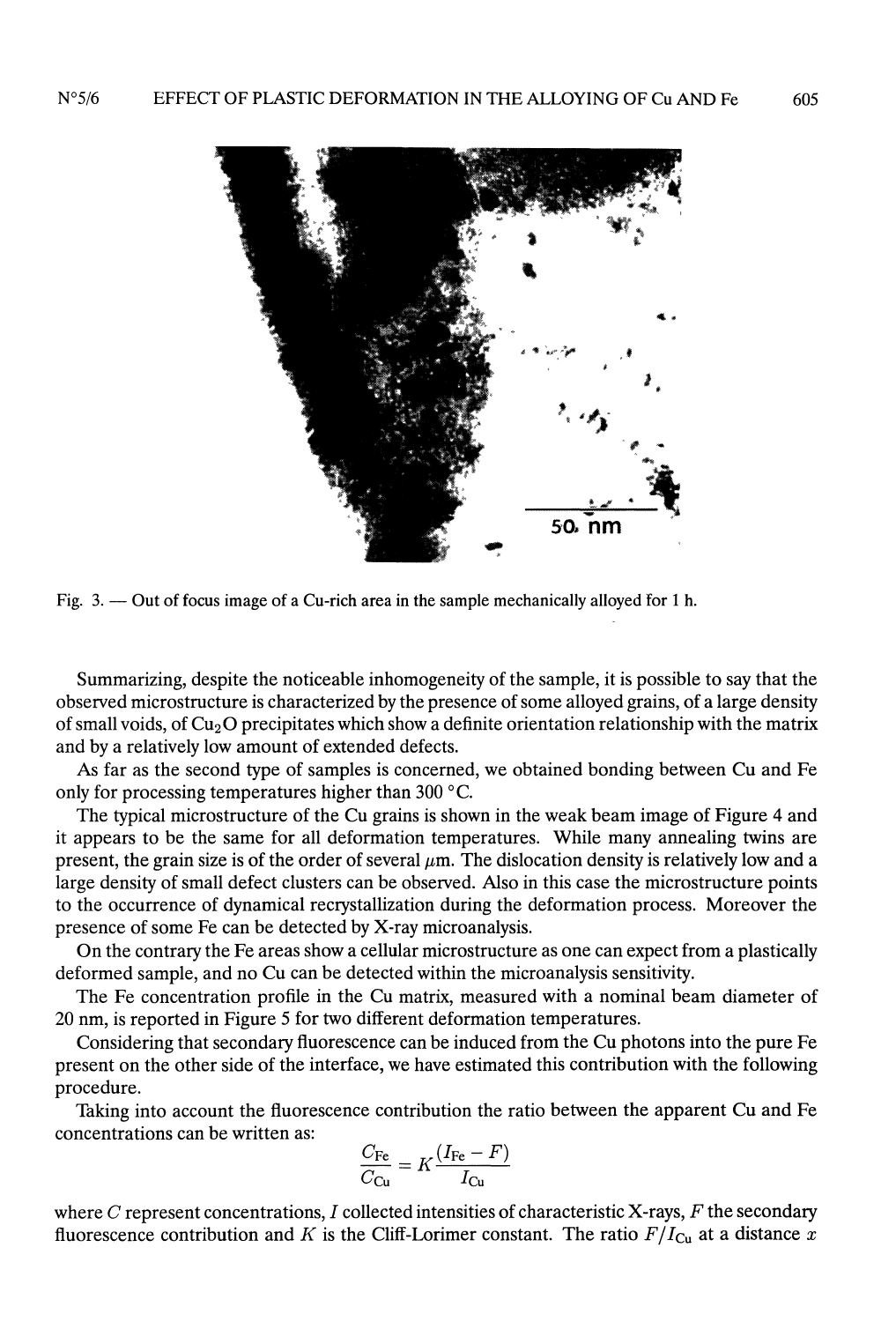

Fig. 3. — Out of focus image of a Cu-rich area in the sample mechanically alloyed for 1 h.

Summarizing, despite the noticeable inhomogeneity of the sample, it is possible to say that the observed microstructure is characterized by the presence of some alloyed grains, of a large density of small voids, of  $Cu<sub>2</sub>O$  precipitates which show a definite orientation relationship with the matrix and by a relatively low amount of extended defects.

As far as the second type of samples is concerned, we obtained bonding between Cu and Fe only for processing temperatures higher than 300 °C.

The typical microstructure of the Cu grains is shown in the weak beam image of Figure 4 and it appears to be the same for all deformation temperatures. While many annealing twins are present, the grain size is of the order of several  $\mu$ m. The dislocation density is relatively low and a large density of small defect clusters can be observed. Also in this case the microstructure points to the occurrence of dynamical recrystallization during the deformation process. Moreover the presence of some Fe can be detected by X-ray microanalysis.

On the contrary the Fe areas show a cellular microstructure as one can expect from a plastically deformed sample, and no Cu can be detected within the microanalysis sensitivity.

The Fe concentration profile in the Cu matrix, measured with a nominal beam diameter of 20 nm, is reported in Figure 5 for two different deformation temperatures.

Considering that secondary fluorescence can be induced from the Cu photons into the pure Fe present on the other side of the interface, we have estimated this contribution with the following procedure.

Taking into account the fluorescence contribution the ratio between the apparent Cu and Fe concentrations can be written as:

$$
\frac{C_{\text{Fe}}}{C_{\text{Cu}}} = K \frac{(I_{\text{Fe}} - F)}{I_{\text{Cu}}}
$$

where  $C$  represent concentrations,  $I$  collected intensities of characteristic X-rays,  $F$  the secondary fluorescence contribution and K is the Cliff-Lorimer constant. The ratio  $F/I_{\text{Cu}}$  at a distance x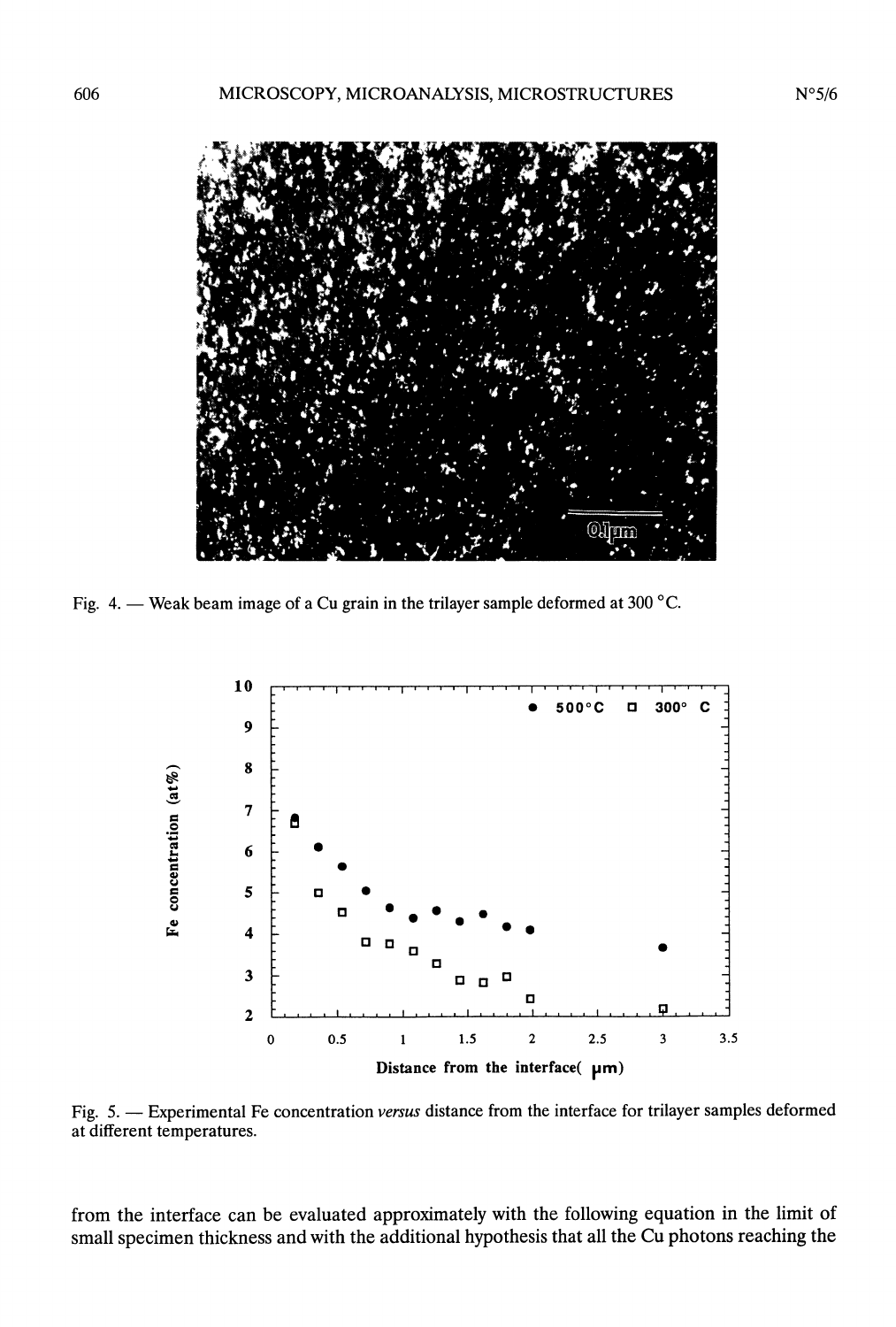

Fig. 4. - Weak beam image of a Cu grain in the trilayer sample deformed at 300  $^{\circ}$ C.



Fig. 5. - Experimental Fe concentration versus distance from the interface for trilayer samples deformed at different temperatures.

from the interface can be evaluated approximately with the following equation in the limit of small specimen thickness and with the additional hypothesis that all the Cu photons reaching the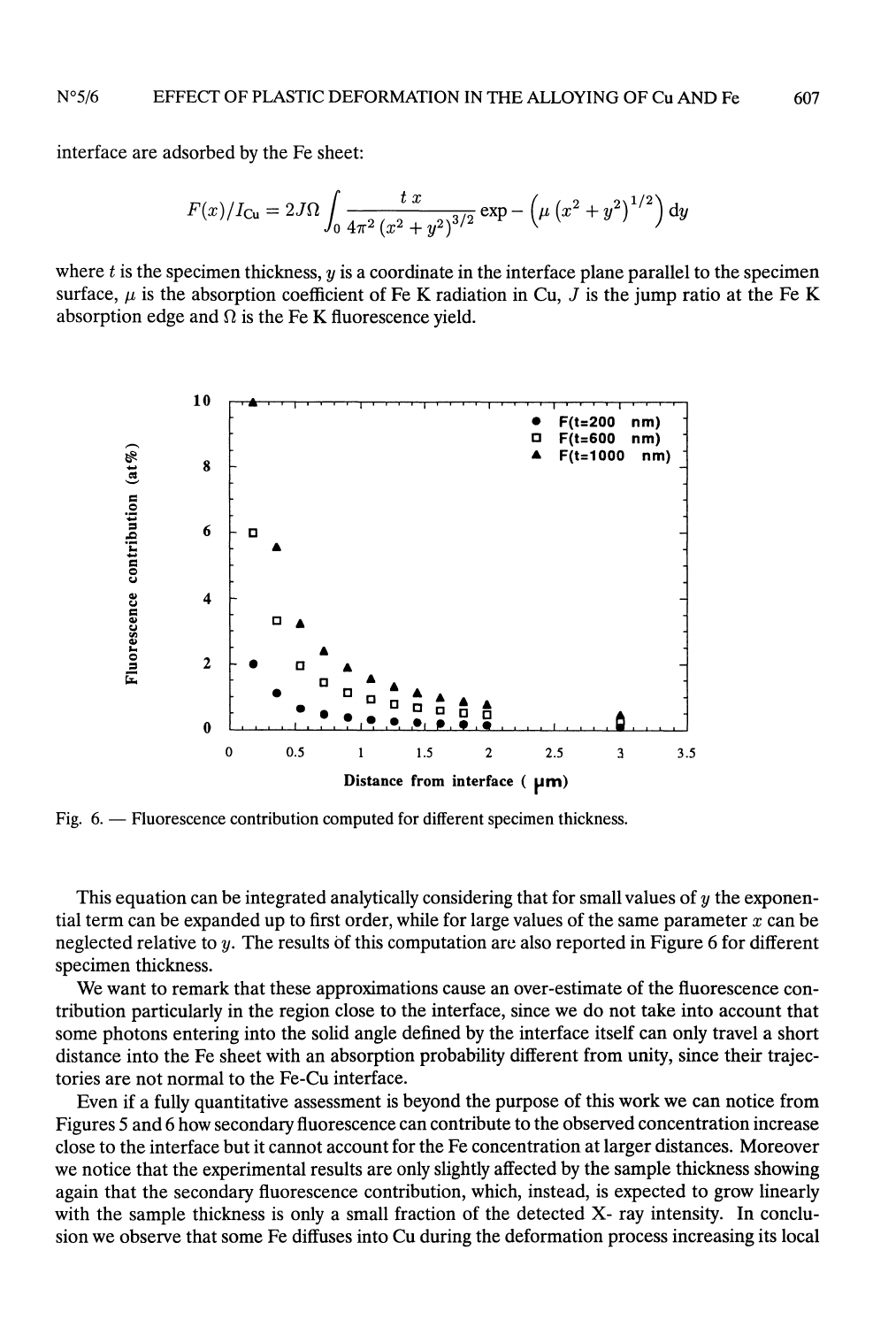interface are adsorbed by the Fe sheet:

$$
F(x)/I_{\text{Cu}} = 2J\Omega \int_0^1 \frac{t x}{4\pi^2 (x^2 + y^2)^{3/2}} \exp - \left(\mu (x^2 + y^2)^{1/2}\right) \mathrm{d}y
$$

where  $t$  is the specimen thickness,  $y$  is a coordinate in the interface plane parallel to the specimen surface,  $\mu$  is the absorption coefficient of Fe K radiation in Cu, J is the jump ratio at the Fe K absorption edge and  $\Omega$  is the Fe K fluorescence yield.



Fig.  $6.$  - Fluorescence contribution computed for different specimen thickness.

This equation can be integrated analytically considering that for small values of y the exponential term can be expanded up to first order, while for large values of the same parameter  $x$  can be neglected relative to y. The results ôf this computation are also reported in Figure 6 for different specimen thickness.

We want to remark that these approximations cause an over-estimate of the fluorescence contribution particularly in the region close to the interface, since we do not take into account that some photons entering into the solid angle defined by the interface itself can only travel a short distance into the Fe sheet with an absorption probability different from unity, since their trajectories are not normal to the Fe-Cu interface.

Even if a fully quantitative assessment is beyond the purpose of this work we can notice from Figures 5 and 6 how secondary fluorescence can contribute to the observed concentration increase close to the interface but it cannot account for the Fe concentration at larger distances. Moreover we notice that the experimental results are only slightly affected by the sample thickness showing again that the secondary fluorescence contribution, which, instead, is expected to grow linearly with the sample thickness is only a small fraction of the detected X- ray intensity. In conclusion we observe that some Fe diffuses into Cu during the deformation process increasing its local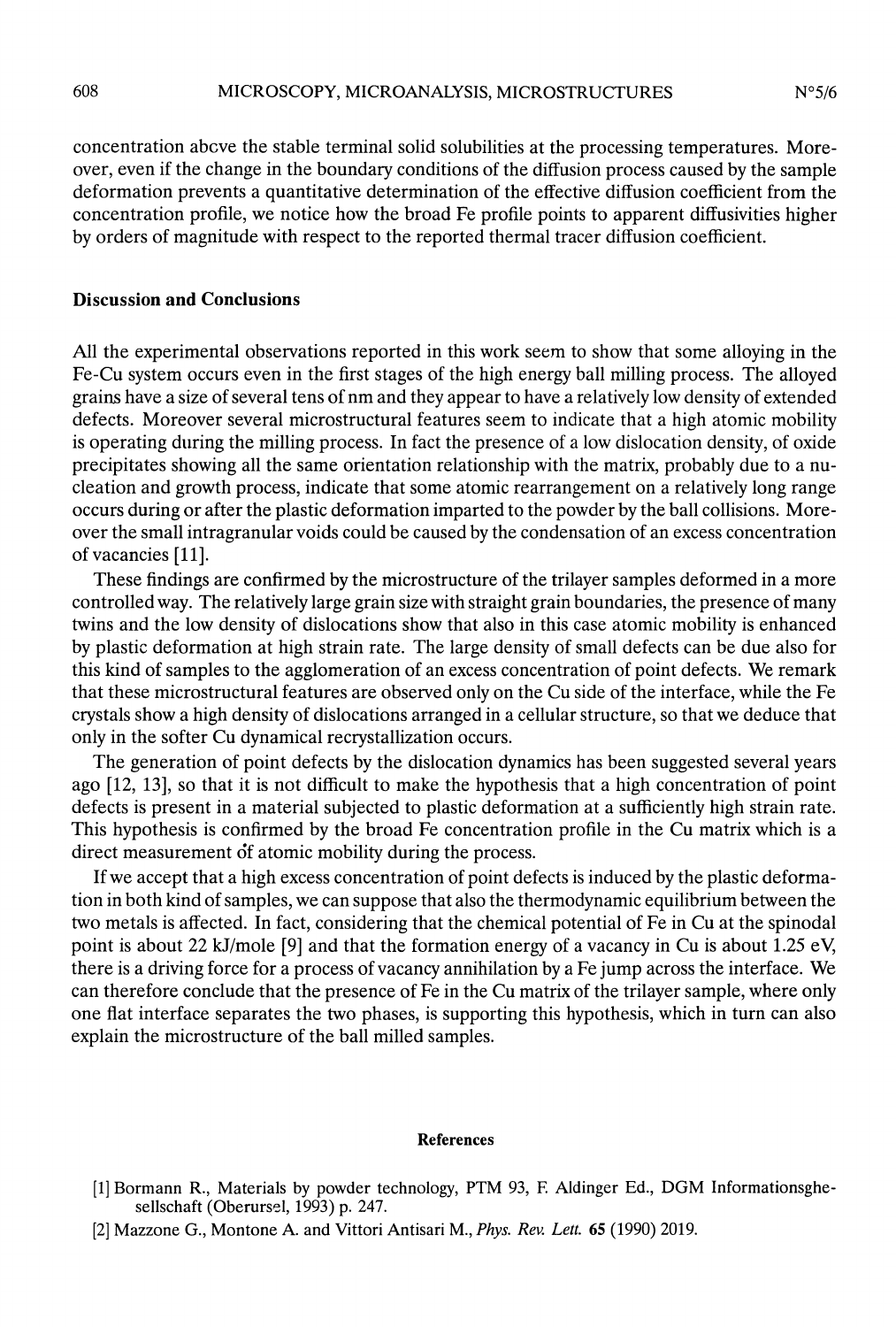concentration abcve the stable terminal solid solubilities at the processing temperatures. Moreover, even if the change in the boundary conditions of the diffusion process caused by the sample deformation prevents a quantitative determination of the effective diffusion coefficient from the concentration profile, we notice how the broad Fe profile points to apparent diffusivities higher by orders of magnitude with respect to the reported thermal tracer diffusion coefficient.

## Discussion and Conclusions

All the experimental observations reported in this work seem to show that some alloying in the Fe-Cu system occurs even in the first stages of the high energy ball milling process. The alloyed grains have a size of several tens of nm and they appear to have a relatively low density of extended defects. Moreover several microstructural features seem to indicate that a high atomic mobility is operating during the milling process. In fact the presence of a low dislocation density, of oxide precipitates showing all the same orientation relationship with the matrix, probably due to a nucleation and growth process, indicate that some atomic rearrangement on a relatively long range occurs during or after the plastic deformation imparted to the powder by the ball collisions. Moreover the small intragranular voids could be caused by the condensation of an excess concentration of vacancies [11].

These findings are confirmed by the microstructure of the trilayer samples deformed in a more controlled way. The relatively large grain size with straight grain boundaries, the presence of many twins and the low density of dislocations show that also in this case atomic mobility is enhanced by plastic deformation at high strain rate. The large density of small defects can be due also for this kind of samples to the agglomeration of an excess concentration of point defects. We remark that these microstructural features are observed only on the Cu side of the interface, while the Fe crystals show a high density of dislocations arranged in a cellular structure, so that we deduce that only in the softer Cu dynamical recrystallization occurs.

The generation of point defects by the dislocation dynamics has been suggested several years ago [12, 13], so that it is not difficult to make the hypothesis that a high concentration of point defects is present in a material subjected to plastic deformation at a sufficiently high strain rate. This hypothesis is confirmed by the broad Fe concentration profile in the Cu matrix which is a direct measurement df atomic mobility during the process.

If we accept that a high excess concentration of point defects is induced by the plastic deformation in both kind of samples, we can suppose that also the thermodynamic equilibrium between the two metals is affected. In fact, considering that the chemical potential of Fe in Cu at the spinodal point is about 22 kJ/mole [9] and that the formation energy of a vacancy in Cu is about 1.25 eV, there is a driving force for a process of vacancy annihilation by a Fe jump across the interface. We can therefore conclude that the presence of Fe in the Cu matrix of the trilayer sample, where only one flat interface separates the two phases, is supporting this hypothesis, which in turn can also explain the microstructure of the ball milled samples.

#### References

- [1] Bormann R., Materials by powder technology, PTM 93, F. Aldinger Ed., DGM Informationsghesellschaft (Oberursel, 1993) p. 247.
- [2] Mazzone G., Montone A. and Vittori Antisari M., Phys. Rev. Lett. 65 (1990) 2019.